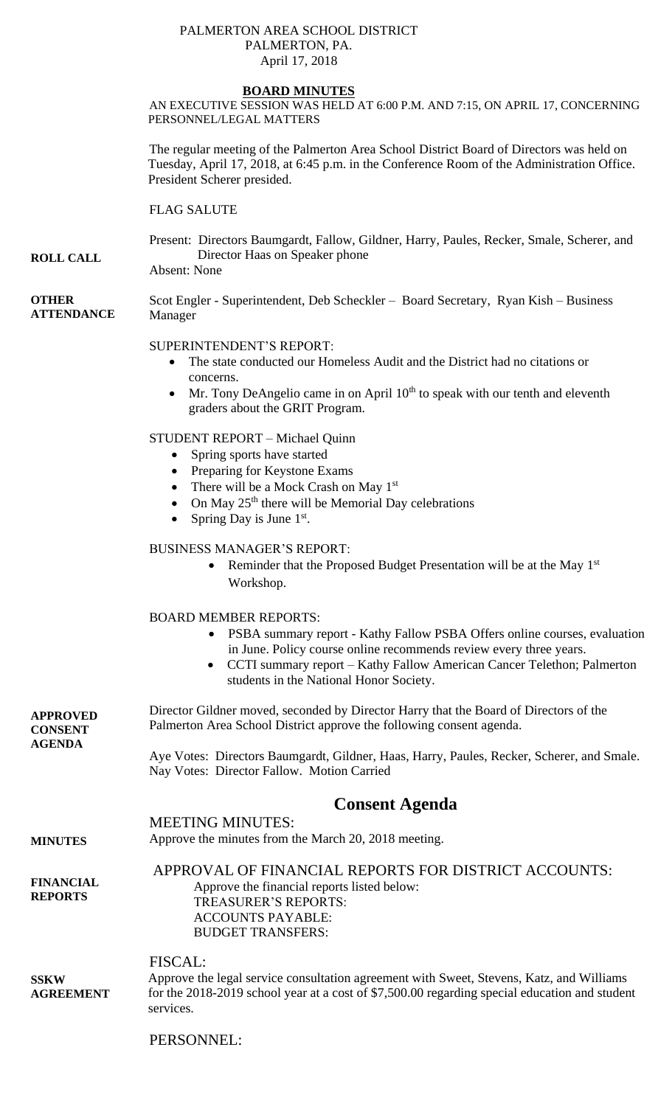#### PALMERTON AREA SCHOOL DISTRICT PALMERTON, PA. April 17, 2018

#### **BOARD MINUTES**

AN EXECUTIVE SESSION WAS HELD AT 6:00 P.M. AND 7:15, ON APRIL 17, CONCERNING PERSONNEL/LEGAL MATTERS

The regular meeting of the Palmerton Area School District Board of Directors was held on Tuesday, April 17, 2018, at 6:45 p.m. in the Conference Room of the Administration Office. President Scherer presided.

FLAG SALUTE

#### **ROLL CALL** Present: Directors Baumgardt, Fallow, Gildner, Harry, Paules, Recker, Smale, Scherer, and Director Haas on Speaker phone

Absent: None

**OTHER ATTENDANCE** Scot Engler - Superintendent, Deb Scheckler – Board Secretary, Ryan Kish – Business Manager

SUPERINTENDENT'S REPORT:

- The state conducted our Homeless Audit and the District had no citations or concerns.
- $\bullet$  Mr. Tony DeAngelio came in on April 10<sup>th</sup> to speak with our tenth and eleventh graders about the GRIT Program.

STUDENT REPORT – Michael Quinn

- Spring sports have started
- Preparing for Keystone Exams
- There will be a Mock Crash on May  $1<sup>st</sup>$
- On May  $25<sup>th</sup>$  there will be Memorial Day celebrations
- Spring Day is June  $1<sup>st</sup>$ .

### BUSINESS MANAGER'S REPORT:

• Reminder that the Proposed Budget Presentation will be at the May  $1<sup>st</sup>$ Workshop.

### BOARD MEMBER REPORTS:

- PSBA summary report Kathy Fallow PSBA Offers online courses, evaluation in June. Policy course online recommends review every three years.
- CCTI summary report Kathy Fallow American Cancer Telethon; Palmerton students in the National Honor Society.

**APPROVED CONSENT AGENDA**  Director Gildner moved, seconded by Director Harry that the Board of Directors of the Palmerton Area School District approve the following consent agenda. Aye Votes: Directors Baumgardt, Gildner, Haas, Harry, Paules, Recker, Scherer, and Smale. Nay Votes: Director Fallow. Motion Carried

# **Consent Agenda**

MEETING MINUTES:

**MINUTES** Approve the minutes from the March 20, 2018 meeting.

**FINANCIAL REPORTS**

APPROVAL OF FINANCIAL REPORTS FOR DISTRICT ACCOUNTS: Approve the financial reports listed below: TREASURER'S REPORTS: ACCOUNTS PAYABLE: BUDGET TRANSFERS:

FISCAL:

**SSKW AGREEMENT** Approve the legal service consultation agreement with Sweet, Stevens, Katz, and Williams for the 2018-2019 school year at a cost of \$7,500.00 regarding special education and student services.

PERSONNEL: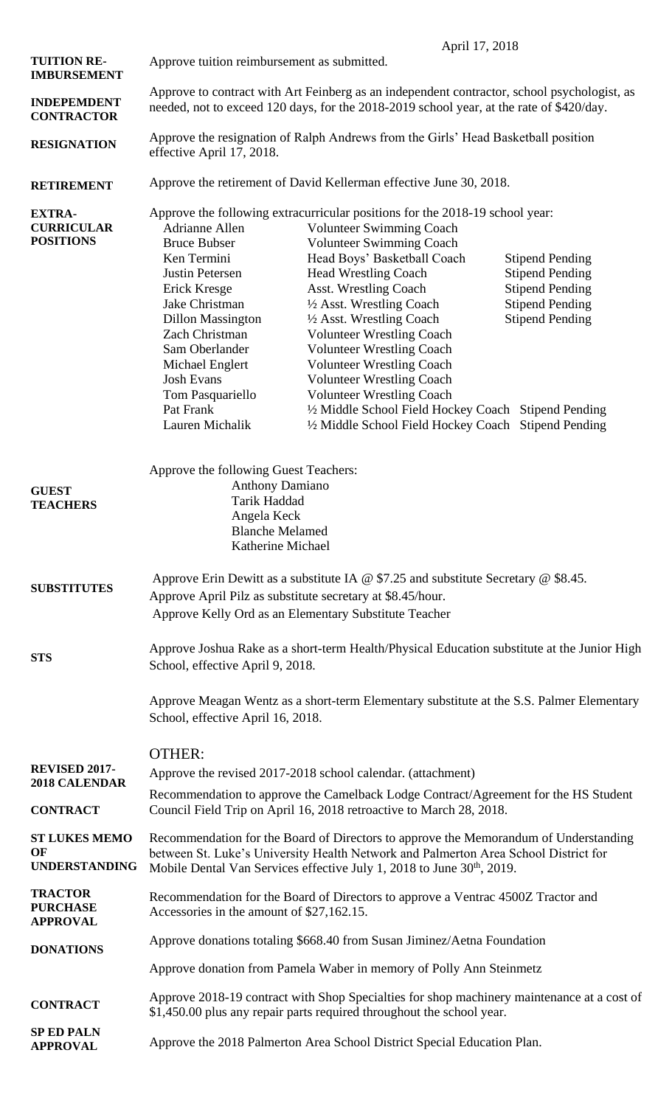|                                                        | April 17, 2018                                                                                                                                                                                                                                                               |                                                                                                                                                                                                                                                                                                                                                                                                                                                                                                                                                                                                         |                                                                                                                                |
|--------------------------------------------------------|------------------------------------------------------------------------------------------------------------------------------------------------------------------------------------------------------------------------------------------------------------------------------|---------------------------------------------------------------------------------------------------------------------------------------------------------------------------------------------------------------------------------------------------------------------------------------------------------------------------------------------------------------------------------------------------------------------------------------------------------------------------------------------------------------------------------------------------------------------------------------------------------|--------------------------------------------------------------------------------------------------------------------------------|
| <b>TUITION RE-</b><br><b>IMBURSEMENT</b>               | Approve tuition reimbursement as submitted.                                                                                                                                                                                                                                  |                                                                                                                                                                                                                                                                                                                                                                                                                                                                                                                                                                                                         |                                                                                                                                |
| <b>INDEPEMDENT</b><br><b>CONTRACTOR</b>                | Approve to contract with Art Feinberg as an independent contractor, school psychologist, as<br>needed, not to exceed 120 days, for the 2018-2019 school year, at the rate of \$420/day.                                                                                      |                                                                                                                                                                                                                                                                                                                                                                                                                                                                                                                                                                                                         |                                                                                                                                |
| <b>RESIGNATION</b>                                     | Approve the resignation of Ralph Andrews from the Girls' Head Basketball position<br>effective April 17, 2018.                                                                                                                                                               |                                                                                                                                                                                                                                                                                                                                                                                                                                                                                                                                                                                                         |                                                                                                                                |
| <b>RETIREMENT</b>                                      | Approve the retirement of David Kellerman effective June 30, 2018.                                                                                                                                                                                                           |                                                                                                                                                                                                                                                                                                                                                                                                                                                                                                                                                                                                         |                                                                                                                                |
| <b>EXTRA-</b><br><b>CURRICULAR</b><br><b>POSITIONS</b> | <b>Adrianne Allen</b><br><b>Bruce Bubser</b><br>Ken Termini<br>Justin Petersen<br>Erick Kresge<br>Jake Christman<br><b>Dillon Massington</b><br>Zach Christman<br>Sam Oberlander<br>Michael Englert<br><b>Josh Evans</b><br>Tom Pasquariello<br>Pat Frank<br>Lauren Michalik | Approve the following extracurricular positions for the 2018-19 school year:<br><b>Volunteer Swimming Coach</b><br>Volunteer Swimming Coach<br>Head Boys' Basketball Coach<br><b>Head Wrestling Coach</b><br><b>Asst. Wrestling Coach</b><br>1/2 Asst. Wrestling Coach<br>1/2 Asst. Wrestling Coach<br><b>Volunteer Wrestling Coach</b><br><b>Volunteer Wrestling Coach</b><br><b>Volunteer Wrestling Coach</b><br><b>Volunteer Wrestling Coach</b><br><b>Volunteer Wrestling Coach</b><br>1/2 Middle School Field Hockey Coach Stipend Pending<br>1/2 Middle School Field Hockey Coach Stipend Pending | <b>Stipend Pending</b><br><b>Stipend Pending</b><br><b>Stipend Pending</b><br><b>Stipend Pending</b><br><b>Stipend Pending</b> |
| <b>GUEST</b><br><b>TEACHERS</b>                        | Approve the following Guest Teachers:<br><b>Anthony Damiano</b><br>Tarik Haddad<br>Angela Keck<br><b>Blanche Melamed</b><br>Katherine Michael                                                                                                                                |                                                                                                                                                                                                                                                                                                                                                                                                                                                                                                                                                                                                         |                                                                                                                                |
| <b>SUBSTITUTES</b>                                     | Approve Erin Dewitt as a substitute IA @ $$7.25$ and substitute Secretary @ \$8.45.<br>Approve April Pilz as substitute secretary at \$8.45/hour.<br>Approve Kelly Ord as an Elementary Substitute Teacher                                                                   |                                                                                                                                                                                                                                                                                                                                                                                                                                                                                                                                                                                                         |                                                                                                                                |
| <b>STS</b>                                             | Approve Joshua Rake as a short-term Health/Physical Education substitute at the Junior High<br>School, effective April 9, 2018.<br>Approve Meagan Wentz as a short-term Elementary substitute at the S.S. Palmer Elementary<br>School, effective April 16, 2018.             |                                                                                                                                                                                                                                                                                                                                                                                                                                                                                                                                                                                                         |                                                                                                                                |
|                                                        |                                                                                                                                                                                                                                                                              |                                                                                                                                                                                                                                                                                                                                                                                                                                                                                                                                                                                                         |                                                                                                                                |
| REVISED 2017-<br>2018 CALENDAR                         | <b>OTHER:</b><br>Approve the revised 2017-2018 school calendar. (attachment)<br>Recommendation to approve the Camelback Lodge Contract/Agreement for the HS Student                                                                                                          |                                                                                                                                                                                                                                                                                                                                                                                                                                                                                                                                                                                                         |                                                                                                                                |
| <b>CONTRACT</b>                                        | Council Field Trip on April 16, 2018 retroactive to March 28, 2018.                                                                                                                                                                                                          |                                                                                                                                                                                                                                                                                                                                                                                                                                                                                                                                                                                                         |                                                                                                                                |
| <b>ST LUKES MEMO</b><br>OF<br><b>UNDERSTANDING</b>     | Recommendation for the Board of Directors to approve the Memorandum of Understanding<br>between St. Luke's University Health Network and Palmerton Area School District for<br>Mobile Dental Van Services effective July 1, 2018 to June 30 <sup>th</sup> , 2019.            |                                                                                                                                                                                                                                                                                                                                                                                                                                                                                                                                                                                                         |                                                                                                                                |
| <b>TRACTOR</b><br><b>PURCHASE</b><br><b>APPROVAL</b>   | Recommendation for the Board of Directors to approve a Ventrac 4500Z Tractor and<br>Accessories in the amount of \$27,162.15.                                                                                                                                                |                                                                                                                                                                                                                                                                                                                                                                                                                                                                                                                                                                                                         |                                                                                                                                |
| <b>DONATIONS</b>                                       | Approve donations totaling \$668.40 from Susan Jiminez/Aetna Foundation                                                                                                                                                                                                      |                                                                                                                                                                                                                                                                                                                                                                                                                                                                                                                                                                                                         |                                                                                                                                |
|                                                        | Approve donation from Pamela Waber in memory of Polly Ann Steinmetz                                                                                                                                                                                                          |                                                                                                                                                                                                                                                                                                                                                                                                                                                                                                                                                                                                         |                                                                                                                                |
| <b>CONTRACT</b>                                        | Approve 2018-19 contract with Shop Specialties for shop machinery maintenance at a cost of<br>\$1,450.00 plus any repair parts required throughout the school year.                                                                                                          |                                                                                                                                                                                                                                                                                                                                                                                                                                                                                                                                                                                                         |                                                                                                                                |
| <b>SP ED PALN</b><br><b>APPROVAL</b>                   | Approve the 2018 Palmerton Area School District Special Education Plan.                                                                                                                                                                                                      |                                                                                                                                                                                                                                                                                                                                                                                                                                                                                                                                                                                                         |                                                                                                                                |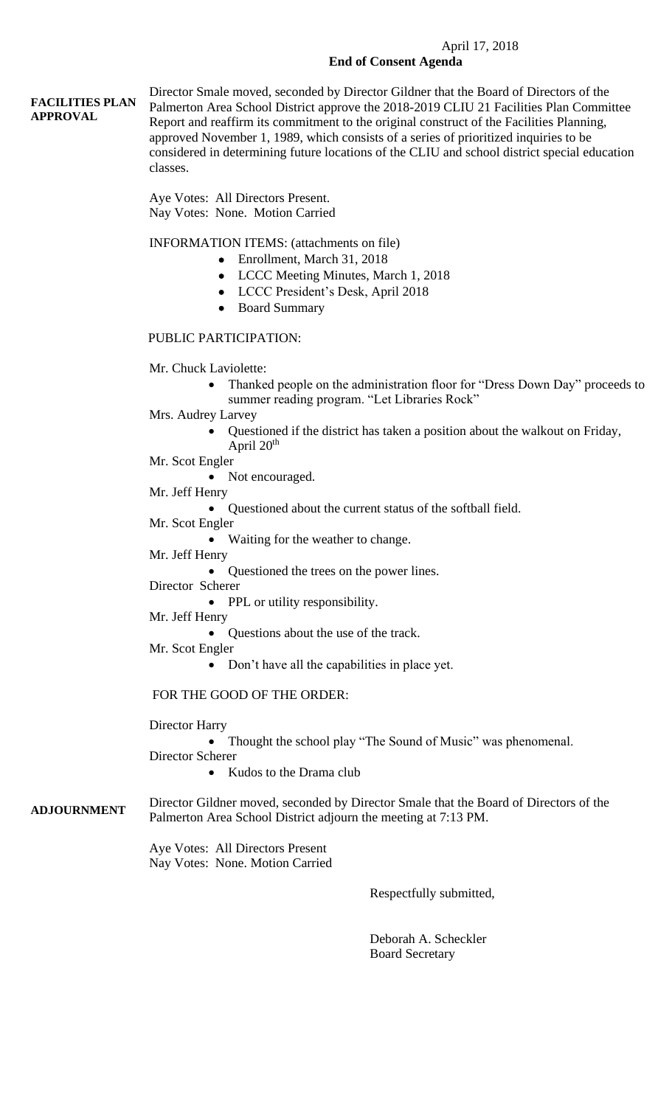#### April 17, 2018 **End of Consent Agenda**

#### **FACILITIES PLAN APPROVAL** Director Smale moved, seconded by Director Gildner that the Board of Directors of the Palmerton Area School District approve the 2018-2019 CLIU 21 Facilities Plan Committee Report and reaffirm its commitment to the original construct of the Facilities Planning, approved November 1, 1989, which consists of a series of prioritized inquiries to be considered in determining future locations of the CLIU and school district special education classes.

Aye Votes: All Directors Present. Nay Votes: None. Motion Carried

INFORMATION ITEMS: (attachments on file)

- Enrollment, March 31, 2018
- LCCC Meeting Minutes, March 1, 2018
- LCCC President's Desk, April 2018
- Board Summary

### PUBLIC PARTICIPATION:

- Mr. Chuck Laviolette:
	- Thanked people on the administration floor for "Dress Down Day" proceeds to summer reading program. "Let Libraries Rock"
- Mrs. Audrey Larvey
	- Questioned if the district has taken a position about the walkout on Friday, April  $20<sup>th</sup>$
- Mr. Scot Engler
	- Not encouraged.

Mr. Jeff Henry

- Questioned about the current status of the softball field.
- Mr. Scot Engler

Waiting for the weather to change.

## Mr. Jeff Henry

• Questioned the trees on the power lines.

Director Scherer

• PPL or utility responsibility.

- Mr. Jeff Henry
	- Questions about the use of the track.
- Mr. Scot Engler
	- Don't have all the capabilities in place yet.

### FOR THE GOOD OF THE ORDER:

Director Harry

• Thought the school play "The Sound of Music" was phenomenal.

Director Scherer

• Kudos to the Drama club

**ADJOURNMENT** Director Gildner moved, seconded by Director Smale that the Board of Directors of the Palmerton Area School District adjourn the meeting at 7:13 PM.

> Aye Votes: All Directors Present Nay Votes: None. Motion Carried

> > Respectfully submitted,

 Deborah A. Scheckler Board Secretary